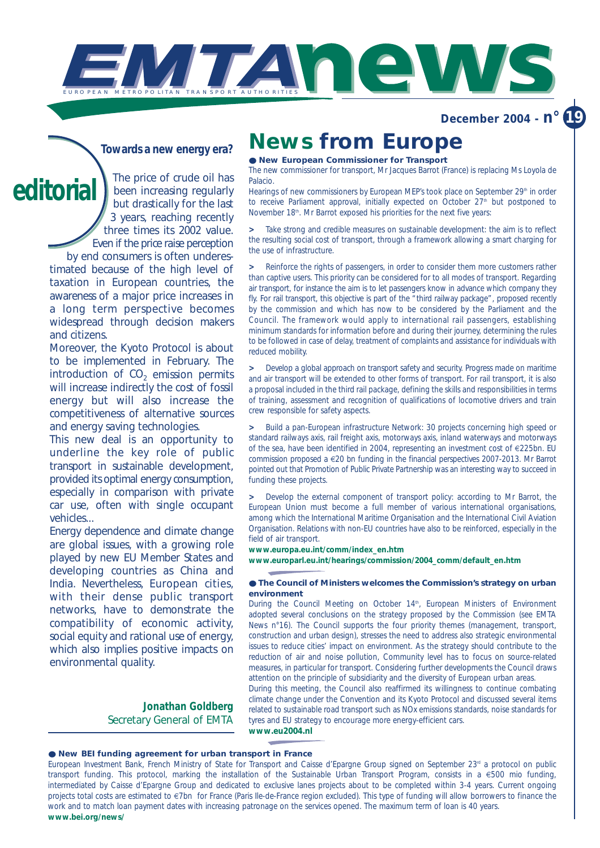**December 2004 -**  $n^{\circ}$ 

## *Towards a new energy era?*

*The price of crude oil has been increasing regularly but drastically for the last 3 years, reaching recently three times its 2002 value. Even if the price raise perception by end consumers is often underes***editorial**

*timated because of the high level of taxation in European countries, the awareness of a major price increases in a long term perspective becomes widespread through decision makers and citizens.*

*Moreover, the Kyoto Protocol is about to be implemented in February. The introduction of CO<sub>2</sub> emission permits will increase indirectly the cost of fossil energy but will also increase the competitiveness of alternative sources and energy saving technologies.*

*This new deal is an opportunity to underline the key role of public transport in sustainable development, provided its optimal energy consumption, especially in comparison with private car use, often with single occupant vehicles...*

*Energy dependence and climate change are global issues, with a growing role played by new EU Member States and developing countries as China and India. Nevertheless, European cities, with their dense public transport networks, have to demonstrate the compatibility of economic activity, social equity and rational use of energy, which also implies positive impacts on environmental quality.*

> *Jonathan Goldberg Secretary General of EMTA*

## **News from Europe**

### ● **New European Commissioner for Transport**

WTAN EWS

The new commissioner for transport, Mr Jacques Barrot (France) is replacing Ms Loyola de Palacio.

Hearings of new commissioners by European MEP's took place on September 29<sup>th</sup> in order to receive Parliament approval, initially expected on October 27<sup>th</sup> but postponed to November 18th. Mr Barrot exposed his priorities for the next five years:

Take strong and credible measures on sustainable development: the aim is to reflect the resulting social cost of transport, through a framework allowing a smart charging for the use of infrastructure.

**>** Reinforce the rights of passengers, in order to consider them more customers rather than captive users. This priority can be considered for to all modes of transport. Regarding air transport, for instance the aim is to let passengers know in advance which company they fly. For rail transport, this objective is part of the "third railway package", proposed recently by the commission and which has now to be considered by the Parliament and the Council. The framework would apply to international rail passengers, establishing minimum standards for information before and during their journey, determining the rules to be followed in case of delay, treatment of complaints and assistance for individuals with reduced mobility.

**>** Develop a global approach on transport safety and security. Progress made on maritime and air transport will be extended to other forms of transport. For rail transport, it is also a proposal included in the third rail package, defining the skills and responsibilities in terms of training, assessment and recognition of qualifications of locomotive drivers and train crew responsible for safety aspects.

**>** Build a pan-European infrastructure Network: 30 projects concerning high speed or standard railways axis, rail freight axis, motorways axis, inland waterways and motorways of the sea, have been identified in 2004, representing an investment cost of €225bn. EU commission proposed a €20 bn funding in the financial perspectives 2007-2013. Mr Barrot pointed out that Promotion of Public Private Partnership was an interesting way to succeed in funding these projects.

**>** Develop the external component of transport policy: according to Mr Barrot, the European Union must become a full member of various international organisations, among which the International Maritime Organisation and the International Civil Aviation Organisation. Relations with non-EU countries have also to be reinforced, especially in the field of air transport.

**www.europa.eu.int/comm/index\_en.htm** 

**www.europarl.eu.int/hearings/commission/2004\_comm/default\_en.htm**

### ● **The Council of Ministers welcomes the Commission's strategy on urban environment**

During the Council Meeting on October 14<sup>th</sup>, European Ministers of Environment adopted several conclusions on the strategy proposed by the Commission (*see EMTA News n°16*). The Council supports the four priority themes (management, transport, construction and urban design), stresses the need to address also strategic environmental issues to reduce cities' impact on environment. As the strategy should contribute to the reduction of air and noise pollution, Community level has to focus on source-related measures, in particular for transport. Considering further developments the Council draws attention on the principle of subsidiarity and the diversity of European urban areas.

During this meeting, the Council also reaffirmed its willingness to continue combating climate change under the Convention and its Kyoto Protocol and discussed several items related to sustainable road transport such as NOx emissions standards, noise standards for tyres and EU strategy to encourage more energy-efficient cars. **www.eu2004.nl**

### ● **New BEI funding agreement for urban transport in France**

European Investment Bank, French Ministry of State for Transport and Caisse d'Epargne Group signed on September 23<sup>rd</sup> a protocol on public transport funding. This protocol, marking the installation of the Sustainable Urban Transport Program, consists in a €500 mio funding, intermediated by Caisse d'Epargne Group and dedicated to exclusive lanes projects about to be completed within 3-4 years. Current ongoing projects total costs are estimated to €7bn for France (Paris Ile-de-France region excluded). This type of funding will allow borrowers to finance the work and to match loan payment dates with increasing patronage on the services opened. The maximum term of loan is 40 years. **www.bei.org/news/**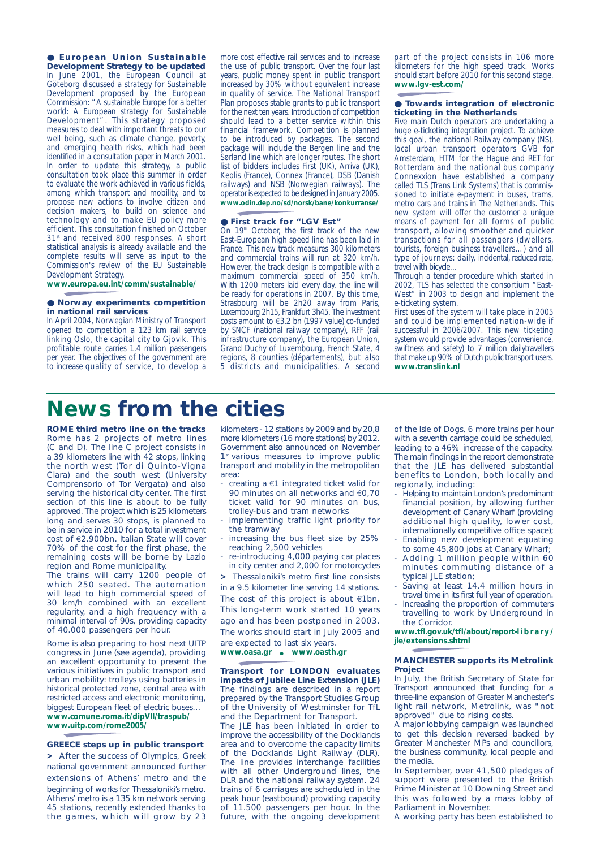● **European Union Sustainable Development Strategy to be updated**  In June 2001, the European Council at Göteborg discussed a strategy for Sustainable Development proposed by the European Commission: "A sustainable Europe for a better world: A European strategy for Sustainable Development". This strategy proposed measures to deal with important threats to our well being, such as climate change, poverty, and emerging health risks, which had been identified in a consultation paper in March 2001. In order to update this strategy, a public consultation took place this summer in order to evaluate the work achieved in various fields, among which transport and mobility, and to propose new actions to involve citizen and decision makers, to build on science and technology and to make EU policy more efficient. This consultation finished on October 31st and received 800 responses. A short statistical analysis is already available and the complete results will serve as input to the Commission's review of the EU Sustainable Development Strategy.

**www.europa.eu.int/comm/sustainable/**

### ● **Norway experiments competition in national rail services**

In April 2004, Norwegian Ministry of Transport opened to competition a 123 km rail service linking Oslo, the capital city to Gjovik. This profitable route carries 1.4 million passengers per year. The objectives of the government are to increase quality of service, to develop a more cost effective rail services and to increase the use of public transport. Over the four last years, public money spent in public transport increased by 30% without equivalent increase in quality of service. The National Transport Plan proposes stable grants to public transport for the next ten years. Introduction of competition should lead to a better service within this financial framework. Competition is planned to be introduced by packages. The second package will include the Bergen line and the Sørland line which are longer routes. The short list of bidders includes First (UK), Arriva (UK), Keolis (France), Connex (France), DSB (Danish railways) and NSB (Norwegian railways). The operator is expected to be designed in January 2005. **www.odin.dep.no/sd/norsk/bane/konkurranse/**

#### ● **First track for "LGV Est"**

On 19th October, the first track of the new East-European high speed line has been laid in France. This new track measures 300 kilometers and commercial trains will run at 320 km/h. However, the track design is compatible with a maximum commercial speed of 350 km/h. With 1200 meters laid every day, the line will be ready for operations in 2007. By this time, Strasbourg will be 2h20 away from Paris, Luxembourg 2h15, Frankfurt 3h45. The investment costs amount to €3.2 bn (1997 value) co-funded by SNCF (national railway company), RFF (rail infrastructure company), the European Union, Grand Duchy of Luxembourg, French State, 4 regions, 8 counties (départements), but also 5 districts and municipalities. A second

part of the project consists in 106 more kilometers for the high speed track. Works should start before 2010 for this second stage. **www.lgv-est.com/**

### ● **Towards integration of electronic ticketing in the Netherlands**

Five main Dutch operators are undertaking a huge e-ticketing integration project. To achieve this goal, the national Railway company (NS), local urban transport operators GVB for Amsterdam, HTM for the Hague and RET for Rotterdam and the national bus company Connexxion have established a company called TLS (Trans Link Systems) that is commissioned to initiate e-payment in buses, trams, metro cars and trains in The Netherlands. This new system will offer the customer a unique means of payment for all forms of public transport, allowing smoother and quicker transactions for all passengers (dwellers, tourists, foreign business travellers…) and all type of journeys: daily, incidental, reduced rate, travel with bicycle…

Through a tender procedure which started in 2002, TLS has selected the consortium "East-West" in 2003 to design and implement the e-ticketing system.

First uses of the system will take place in 2005 and could be implemented nation-wide if successful in 2006/2007. This new ticketing system would provide advantages (convenience, swiftness and safety) to 7 million dailytravellers that make up 90% of Dutch public transport users. **www.translink.nl**

## **News from the cities**

**ROME third metro line on the tracks** Rome has 2 projects of metro lines (C and D). The line C project consists in a 39 kilometers line with 42 stops, linking the north west (Tor di Quinto-Vigna Clara) and the south west (University Comprensorio of Tor Vergata) and also serving the historical city center. The first section of this line is about to be fully approved. The project which is 25 kilometers long and serves 30 stops, is planned to be in service in 2010 for a total investment cost of €2.900bn. Italian State will cover 70% of the cost for the first phase, the remaining costs will be borne by Lazio region and Rome municipality.

The trains will carry 1200 people of which 250 seated. The automation will lead to high commercial speed of 30 km/h combined with an excellent regularity, and a high frequency with a minimal interval of 90s, providing capacity of 40.000 passengers per hour.

Rome is also preparing to host next UITP congress in June (*see agenda*), providing an excellent opportunity to present the various initiatives in public transport and urban mobility: trolleys using batteries in historical protected zone, central area with restricted access and electronic monitoring, biggest European fleet of electric buses… **www.comune.roma.it/dipVII/traspub/ www.uitp.com/rome2005/**

### **GREECE steps up in public transport**

**>** After the success of Olympics, Greek national government announced further extensions of Athens' metro and the beginning of works for Thessaloniki's metro. Athens' metro is a 135 km network serving 45 stations, recently extended thanks to the games, which will grow by 23

kilometers - 12 stations by 2009 and by 20,8 more kilometers (16 more stations) by 2012. Government also announced on November 1<sup>st</sup> various measures to improve public transport and mobility in the metropolitan area:

- creating a €1 integrated ticket valid for 90 minutes on all networks and €0,70 ticket valid for 90 minutes on bus, trolley-bus and tram networks
- implementing traffic light priority for the tramway
- increasing the bus fleet size by 25% reaching 2,500 vehicles
- re-introducing 4,000 paying car places in city center and 2,000 for motorcycles

**>** Thessaloniki's metro first line consists in a 9.5 kilometer line serving 14 stations. The cost of this project is about €1bn. This long-term work started 10 years ago and has been postponed in 2003. The works should start in July 2005 and are expected to last six years.

### **www.oasa.gr** ● **www.oasth.gr**

**Transport for LONDON evaluates impacts of Jubilee Line Extension (JLE)** The findings are described in a report prepared by the Transport Studies Group of the University of Westminster for TfL and the Department for Transport.

The JLE has been initiated in order to improve the accessibility of the Docklands area and to overcome the capacity limits of the Docklands Light Railway (DLR). The line provides interchange facilities with all other Underground lines, the DLR and the national railway system. 24 trains of 6 carriages are scheduled in the peak hour (eastbound) providing capacity of 11.500 passengers per hour. In the future, with the ongoing development

of the Isle of Dogs, 6 more trains per hour with a seventh carriage could be scheduled, leading to a 46% increase of the capacity. The main findings in the report demonstrate that the JLE has delivered substantial benefits to London, both locally and regionally, including:

- Helping to maintain London's predominant financial position, by allowing further development of Canary Wharf (providing additional high quality, lower cost, internationally competitive office space);
- Enabling new development equating to some 45,800 jobs at Canary Wharf;
- Adding 1 million people within 60 minutes commuting distance of a typical JLE station;
- Saving at least 14.4 million hours in travel time in its first full year of operation.
- Increasing the proportion of commuters travelling to work by Underground in the Corridor.

**www.tfl.gov.uk/tfl/about/report-library/ jle/extensions.shtml**

### **MANCHESTER supports its Metrolink Project**

In July, the British Secretary of State for Transport announced that funding for a three-line expansion of Greater Manchester's light rail network, Metrolink, was "not approved" due to rising costs.

A major lobbying campaign was launched to get this decision reversed backed by Greater Manchester MPs and councillors, the business community, local people and the media.

In September, over 41,500 pledges of support were presented to the British Prime Minister at 10 Downing Street and this was followed by a mass lobby of Parliament in November.

A working party has been established to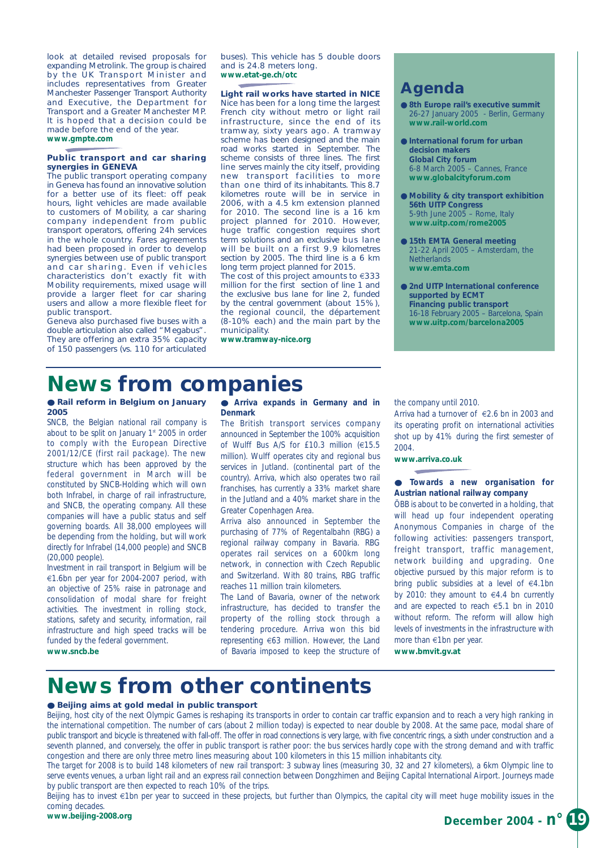look at detailed revised proposals for expanding Metrolink. The group is chaired by the UK Transport Minister and includes representatives from Greater Manchester Passenger Transport Authority and Executive, the Department for Transport and a Greater Manchester MP. It is hoped that a decision could be made before the end of the year. **www.gmpte.com**

### **Public transport and car sharing synergies in GENEVA**

The public transport operating company in Geneva has found an innovative solution for a better use of its fleet: off peak hours, light vehicles are made available to customers of Mobility, a car sharing company independent from public transport operators, offering 24h services in the whole country. Fares agreements had been proposed in order to develop synergies between use of public transport and car sharing. Even if vehicles characteristics don't exactly fit with Mobility requirements, mixed usage will provide a larger fleet for car sharing users and allow a more flexible fleet for public transport.

Geneva also purchased five buses with a double articulation also called "Megabus". They are offering an extra 35% capacity of 150 passengers (vs. 110 for articulated buses). This vehicle has 5 double doors and is 24.8 meters long. **www.etat-ge.ch/otc**

## **Light rail works have started in NICE**

Nice has been for a long time the largest French city without metro or light rail infrastructure, since the end of its tramway, sixty years ago. A tramway scheme has been designed and the main road works started in September. The scheme consists of three lines. The first line serves mainly the city itself, providing new transport facilities to more than one third of its inhabitants. This 8.7 kilometres route will be in service in 2006, with a 4.5 km extension planned for 2010. The second line is a 16 km project planned for 2010. However, huge traffic congestion requires short term solutions and an exclusive bus lane will be built on a first 9.9 kilometres section by 2005. The third line is a 6 km long term project planned for 2015.

The cost of this project amounts to €333 million for the first section of line 1 and the exclusive bus lane for line 2, funded by the central government (about 15%), the regional council, the département (8-10% each) and the main part by the municipality.

**www.tramway-nice.org**

## **Agenda**

- **8th Europe rail's executive summit** 26-27 January 2005 - Berlin, Germany **www.rail-world.com**
- **International forum for urban decision makers Global City forum** 6-8 March 2005 – Cannes, France **www.globalcityforum.com**
- **Mobility & city transport exhibition 56th UITP Congress** 5-9th June 2005 – Rome, Italy **www.uitp.com/rome2005**
- **15th EMTA General meeting** 21-22 April 2005 – Amsterdam, the **Netherlands www.emta.com**
- **2nd UITP International conference supported by ECMT Financing public transport** 16-18 February 2005 – Barcelona, Spain **www.uitp.com/barcelona2005**

# **News from companies**

### ● **Rail reform in Belgium on January 2005**

SNCB, the Belgian national rail company is about to be split on January  $1<sup>st</sup>$  2005 in order to comply with the European Directive 2001/12/CE (first rail package). The new structure which has been approved by the federal government in March will be constituted by SNCB-Holding which will own both Infrabel, in charge of rail infrastructure, and SNCB, the operating company. All these companies will have a public status and self governing boards. All 38,000 employees will be depending from the holding, but will work directly for Infrabel (14,000 people) and SNCB (20,000 people).

Investment in rail transport in Belgium will be €1.6bn per year for 2004-2007 period, with an objective of 25% raise in patronage and consolidation of modal share for freight activities. The investment in rolling stock, stations, safety and security, information, rail infrastructure and high speed tracks will be funded by the federal government. **www.sncb.be**

### ● **Arriva expands in Germany and in Denmark**

The British transport services company announced in September the 100% acquisition of Wulff Bus A/S for £10.3 million (€15.5 million). Wulff operates city and regional bus services in Jutland. (continental part of the country). Arriva, which also operates two rail franchises, has currently a 33% market share in the Jutland and a 40% market share in the Greater Copenhagen Area.

Arriva also announced in September the purchasing of 77% of Regentalbahn (RBG) a regional railway company in Bavaria. RBG operates rail services on a 600km long network, in connection with Czech Republic and Switzerland. With 80 trains, RBG traffic reaches 11 million train kilometers.

The Land of Bavaria, owner of the network infrastructure, has decided to transfer the property of the rolling stock through a tendering procedure. Arriva won this bid representing €63 million. However, the Land of Bavaria imposed to keep the structure of the company until 2010.

Arriva had a turnover of €2.6 bn in 2003 and its operating profit on international activities shot up by 41% during the first semester of 2004.

### **www.arriva.co.uk**

● **Towards a new organisation for Austrian national railway company** 

ÖBB is about to be converted in a holding, that will head up four independent operating Anonymous Companies in charge of the following activities: passengers transport, freight transport, traffic management, network building and upgrading. One objective pursued by this major reform is to bring public subsidies at a level of €4.1bn by 2010: they amount to  $\in$  4.4 bn currently and are expected to reach €5.1 bn in 2010 without reform. The reform will allow high levels of investments in the infrastructure with more than €1bn per year.

### **www.bmvit.gv.at**

# **News from other continents**

### ● **Beijing aims at gold medal in public transport**

Beijing, host city of the next Olympic Games is reshaping its transports in order to contain car traffic expansion and to reach a very high ranking in the international competition. The number of cars (about 2 million today) is expected to near double by 2008. At the same pace, modal share of public transport and bicycle is threatened with fall-off. The offer in road connections is very large, with five concentric rings, a sixth under construction and a seventh planned, and conversely, the offer in public transport is rather poor: the bus services hardly cope with the strong demand and with traffic congestion and there are only three metro lines measuring about 100 kilometers in this 15 million inhabitants city.

The target for 2008 is to build 148 kilometers of new rail transport: 3 subway lines (measuring 30, 32 and 27 kilometers), a 6km Olympic line to serve events venues, a urban light rail and an express rail connection between Dongzhimen and Beijing Capital International Airport. Journeys made by public transport are then expected to reach 10% of the trips.

Beijing has to invest €1bn per year to succeed in these projects, but further than Olympics, the capital city will meet huge mobility issues in the coming decades.